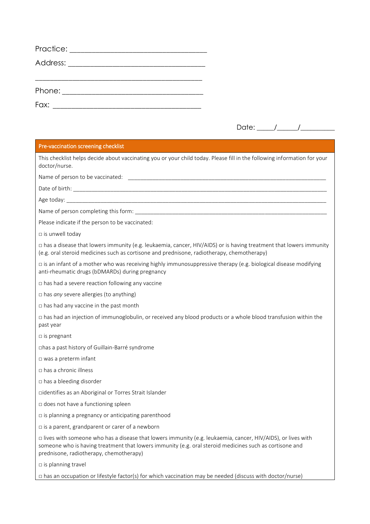| Practice: ____________________ |  |  |
|--------------------------------|--|--|
| Address: _________________     |  |  |
|                                |  |  |
| Phone: __________________      |  |  |
| Fax:                           |  |  |

| י ∩+ר<br>$O$ ate: |  |
|-------------------|--|
|-------------------|--|

## Pre-vaccination screening checklist

This checklist helps decide about vaccinating you or your child today. Please fill in the following information for your doctor/nurse.

Name of person to be vaccinated: \_\_\_\_\_\_\_\_\_\_\_\_\_\_\_\_\_\_\_\_\_\_\_\_\_\_\_\_\_\_\_\_\_\_\_\_\_\_\_\_\_\_\_\_\_\_\_\_\_\_\_\_\_\_\_\_\_\_\_\_\_\_\_\_

Date of birth:

Age today:

Name of person completing this form:

Please indicate if the person to be vaccinated:

□ is unwell today

□ has a disease that lowers immunity (e.g. leukaemia, cancer, HIV/AIDS) or is having treatment that lowers immunity (e.g. oral steroid medicines such as cortisone and prednisone, radiotherapy, chemotherapy)

□ is an infant of a mother who was receiving highly immunosuppressive therapy (e.g. biological disease modifying anti-rheumatic drugs (bDMARDs) during pregnancy

□ has had a severe reaction following any vaccine

□ has *any* severe allergies (to anything)

 $\Box$  has had any vaccine in the past month

□ has had an injection of immunoglobulin, or received any blood products or a whole blood transfusion within the past year

□ is pregnant

□has a past history of Guillain-Barré syndrome

□ was a preterm infant

□ has a chronic illness

□ has a bleeding disorder

□identifies as an Aboriginal or Torres Strait Islander

□ does not have a functioning spleen

□ is planning a pregnancy or anticipating parenthood

 $\square$  is a parent, grandparent or carer of a newborn

□ lives with someone who has a disease that lowers immunity (e.g. leukaemia, cancer, HIV/AIDS), or lives with someone who is having treatment that lowers immunity (e.g. oral steroid medicines such as cortisone and prednisone, radiotherapy, chemotherapy)

 $\square$  is planning travel

□ has an occupation or lifestyle factor(s) for which vaccination may be needed (discuss with doctor/nurse)